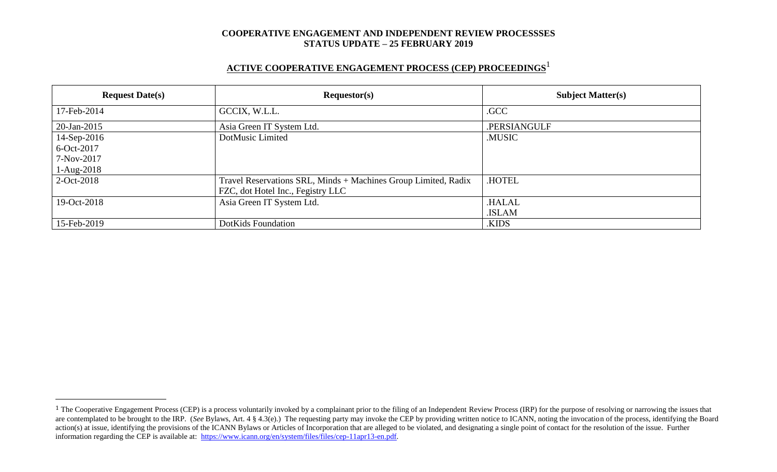## **ACTIVE COOPERATIVE ENGAGEMENT PROCESS (CEP) PROCEEDINGS** 1

| <b>Request Date(s)</b> | Requestor(s)                                                   | <b>Subject Matter(s)</b> |  |
|------------------------|----------------------------------------------------------------|--------------------------|--|
| 17-Feb-2014            | GCCIX, W.L.L.                                                  | .GCC                     |  |
| 20-Jan-2015            | Asia Green IT System Ltd.                                      | .PERSIANGULF             |  |
| 14-Sep-2016            | DotMusic Limited                                               | .MUSIC                   |  |
| 6-Oct-2017             |                                                                |                          |  |
| 7-Nov-2017             |                                                                |                          |  |
| $1-Aug-2018$           |                                                                |                          |  |
| 2-Oct-2018             | Travel Reservations SRL, Minds + Machines Group Limited, Radix | .HOTEL                   |  |
|                        | FZC, dot Hotel Inc., Fegistry LLC                              |                          |  |
| 19-Oct-2018            | Asia Green IT System Ltd.                                      | <b>HALAL</b>             |  |
|                        |                                                                | .ISLAM                   |  |
| 15-Feb-2019            | DotKids Foundation                                             | .KIDS                    |  |

 $\overline{a}$ 

<sup>&</sup>lt;sup>1</sup> The Cooperative Engagement Process (CEP) is a process voluntarily invoked by a complainant prior to the filing of an Independent Review Process (IRP) for the purpose of resolving or narrowing the issues that are contemplated to be brought to the IRP. (*See* Bylaws, Art. 4 § 4.3(e).) The requesting party may invoke the CEP by providing written notice to ICANN, noting the invocation of the process, identifying the Board action(s) at issue, identifying the provisions of the ICANN Bylaws or Articles of Incorporation that are alleged to be violated, and designating a single point of contact for the resolution of the issue. Further information regarding the CEP is available at: [https://www.icann.org/en/system/files/files/cep-11apr13-en.pdf.](https://www.icann.org/en/system/files/files/cep-11apr13-en.pdf)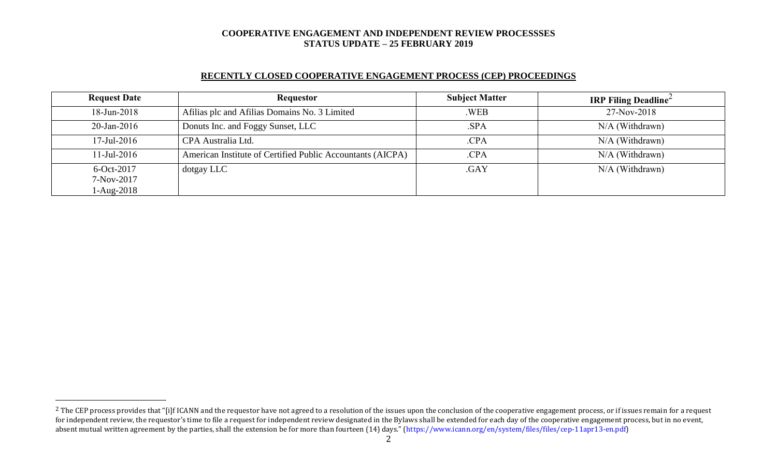### **RECENTLY CLOSED COOPERATIVE ENGAGEMENT PROCESS (CEP) PROCEEDINGS**

| <b>Request Date</b>        | <b>Requestor</b>                                           | <b>Subject Matter</b> | <b>IRP Filing Deadline</b> |
|----------------------------|------------------------------------------------------------|-----------------------|----------------------------|
| $18$ -Jun-2018             | Afilias plc and Afilias Domains No. 3 Limited              | .WEB                  | 27-Nov-2018                |
| $20$ -Jan-2016             | Donuts Inc. and Foggy Sunset, LLC                          | .SPA                  | $N/A$ (Withdrawn)          |
| $17$ -Jul-2016             | CPA Australia Ltd.                                         | .CPA                  | $N/A$ (Withdrawn)          |
| $11$ -Jul-2016             | American Institute of Certified Public Accountants (AICPA) | .CPA                  | N/A (Withdrawn)            |
| $6-Oct-2017$               | dotgay LLC                                                 | .GAY                  | N/A (Withdrawn)            |
| 7-Nov-2017<br>$1-Aug-2018$ |                                                            |                       |                            |

 $\overline{a}$ 

<sup>&</sup>lt;sup>2</sup> The CEP process provides that "[i]f ICANN and the requestor have not agreed to a resolution of the issues upon the conclusion of the cooperative engagement process, or if issues remain for a request for independent review, the requestor's time to file a request for independent review designated in the Bylaws shall be extended for each day of the cooperative engagement process, but in no event, absent mutual written agreement by the parties, shall the extension be for more than fourteen (14) days." (https://www.icann.org/en/system/files/files/cep-11apr13-en.pdf)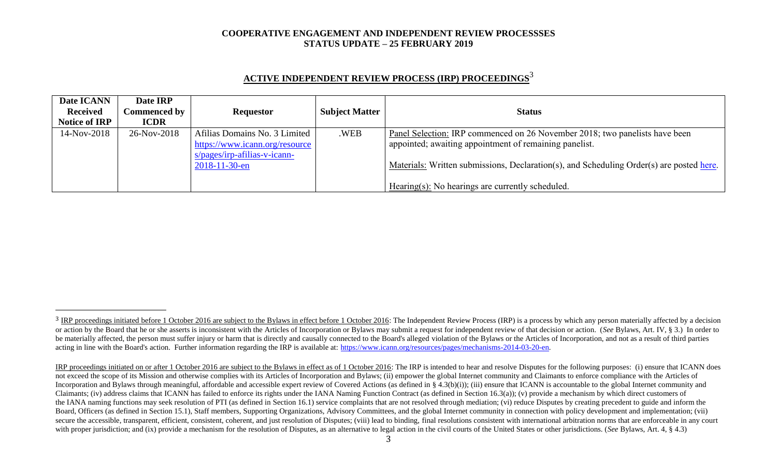| Date ICANN           | Date IRP            |                                |                       |                                                                                          |
|----------------------|---------------------|--------------------------------|-----------------------|------------------------------------------------------------------------------------------|
| <b>Received</b>      | <b>Commenced by</b> | <b>Requestor</b>               | <b>Subject Matter</b> | <b>Status</b>                                                                            |
| <b>Notice of IRP</b> | <b>ICDR</b>         |                                |                       |                                                                                          |
| 14-Nov-2018          | 26-Nov-2018         | Afilias Domains No. 3 Limited  | .WEB                  | Panel Selection: IRP commenced on 26 November 2018; two panelists have been              |
|                      |                     | https://www.icann.org/resource |                       | appointed; awaiting appointment of remaining panelist.                                   |
|                      |                     | $s/pages/irp-afilias-v-icann-$ |                       |                                                                                          |
|                      |                     | $2018 - 11 - 30 - en$          |                       | Materials: Written submissions, Declaration(s), and Scheduling Order(s) are posted here. |
|                      |                     |                                |                       |                                                                                          |
|                      |                     |                                |                       | Hearing(s): No hearings are currently scheduled.                                         |

# **ACTIVE INDEPENDENT REVIEW PROCESS (IRP) PROCEEDINGS** 3

l

<sup>&</sup>lt;sup>3</sup> IRP proceedings initiated before 1 October 2016 are subject to the Bylaws in effect before 1 October 2016: The Independent Review Process (IRP) is a process by which any person materially affected by a decision or action by the Board that he or she asserts is inconsistent with the Articles of Incorporation or Bylaws may submit a request for independent review of that decision or action. (See Bylaws, Art. IV, § 3.) In order to be materially affected, the person must suffer injury or harm that is directly and causally connected to the Board's alleged violation of the Bylaws or the Articles of Incorporation, and not as a result of third parties acting in line with the Board's action. Further information regarding the IRP is available at: [https://www.icann.org/resources/pages/mechanisms-2014-03-20-en.](https://www.icann.org/resources/pages/mechanisms-2014-03-20-en)

IRP proceedings initiated on or after 1 October 2016 are subject to the Bylaws in effect as of 1 October 2016: The IRP is intended to hear and resolve Disputes for the following purposes: (i) ensure that ICANN does not exceed the scope of its Mission and otherwise complies with its Articles of Incorporation and Bylaws; (ii) empower the global Internet community and Claimants to enforce compliance with the Articles of Incorporation and Bylaws through meaningful, affordable and accessible expert review of Covered Actions (as defined in § 4.3(b)(i)); (iii) ensure that ICANN is accountable to the global Internet community and Claimants; (iv) address claims that ICANN has failed to enforce its rights under the IANA Naming Function Contract (as defined in Section 16.3(a)); (v) provide a mechanism by which direct customers of the IANA naming functions may seek resolution of PTI (as defined in Section 16.1) service complaints that are not resolved through mediation; (vi) reduce Disputes by creating precedent to guide and inform the Board, Officers (as defined in Section 15.1), Staff members, Supporting Organizations, Advisory Committees, and the global Internet community in connection with policy development and implementation; (vii) secure the accessible, transparent, efficient, consistent, coherent, and just resolution of Disputes; (viii) lead to binding, final resolutions consistent with international arbitration norms that are enforceable in any co with proper jurisdiction; and (ix) provide a mechanism for the resolution of Disputes, as an alternative to legal action in the civil courts of the United States or other jurisdictions. (*See* Bylaws, Art. 4, § 4.3)